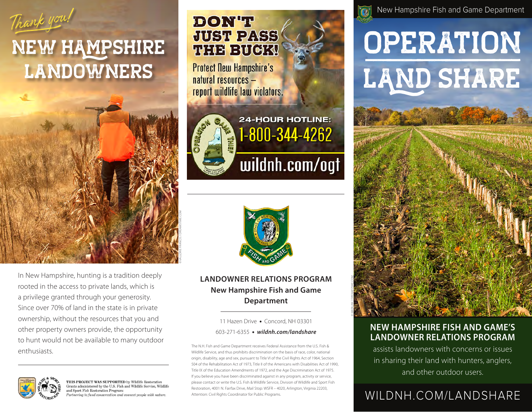

# NEW HAMPSHIRE LANDOWNERS



In New Hampshire, hunting is a tradition deeply rooted in the access to private lands, which is a privilege granted through your generosity. Since over 70% of land in the state is in private ownership, without the resources that you and other property owners provide, the opportunity to hunt would not be available to many outdoor enthusiasts.



**THIS PROJECT WAS SUPPORTED** by Wildlife Restoration<br>Frants administered by the U.S. Fish and Wildlife Service, Wildlife and Sport Fish Restoration Program: artnering to fund conservation and connect people with nature.

## **DON'T JUST PASS THE BUCK!**

**Protect New Hampshire's** natural resources report wildlife law violators.



**24-HOUR HOTLINE:** 1-800-344-4262 wildnh.com/ogt



#### **LANDOWNER RELATIONS PROGRAM New Hampshire Fish and Game Department**

11 Hazen Drive · Concord, NH 03301

603-271-6355 <sup>l</sup> *wildnh.com/landshare*

The N.H. Fish and Game Department receives Federal Assistance from the U.S. Fish & Wildlife Service, and thus prohibits discrimination on the basis of race, color, national origin, disability, age and sex, pursuant to Title VI of the Civil Rights Act of 1964, Section 504 of the Rehabilitation Act of 1973, Title II of the Americans with Disabilities Act of 1990, Title IX of the Education Amendments of 1972, and the Age Discrimination Act of 1975. If you believe you have been discriminated against in any program, activity or service, please contact or write the U.S. Fish & Wildlife Service, Division of Wildlife and Sport Fish Restoration, 4001 N. Fairfax Drive, Mail Stop: WSFR – 4020, Arlington, Virginia 22203, Attention: Civil Rights Coordinator for Public Programs.





#### **NEW HAMPSHIRE FISH AND GAME'S LANDOWNER RELATIONS PROGRAM**

assists landowners with concerns or issues in sharing their land with hunters, anglers, and other outdoor users.

### WILDNH.COM/LANDSHARE